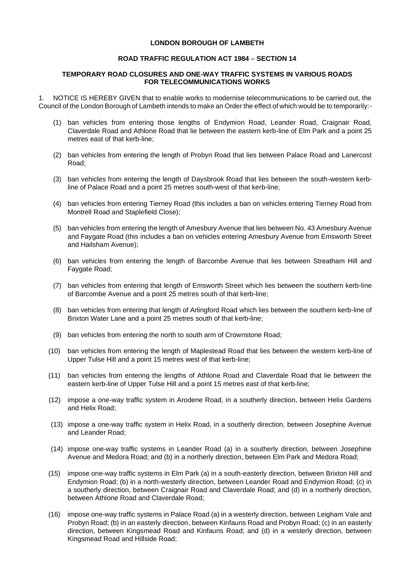## **LONDON BOROUGH OF LAMBETH**

## **ROAD TRAFFIC REGULATION ACT 1984** – **SECTION 14**

## **TEMPORARY ROAD CLOSURES AND ONE-WAY TRAFFIC SYSTEMS IN VARIOUS ROADS FOR TELECOMMUNICATIONS WORKS**

1. NOTICE IS HEREBY GIVEN that to enable works to modernise telecommunications to be carried out, the Council of the London Borough of Lambeth intends to make an Order the effect of which would be to temporarily:-

- (1) ban vehicles from entering those lengths of Endymion Road, Leander Road, Craignair Road, Claverdale Road and Athlone Road that lie between the eastern kerb-line of Elm Park and a point 25 metres east of that kerb-line;
- (2) ban vehicles from entering the length of Probyn Road that lies between Palace Road and Lanercost Road;
- (3) ban vehicles from entering the length of Daysbrook Road that lies between the south-western kerbline of Palace Road and a point 25 metres south-west of that kerb-line;
- (4) ban vehicles from entering Tierney Road (this includes a ban on vehicles entering Tierney Road from Montrell Road and Staplefield Close);
- (5) ban vehicles from entering the length of Amesbury Avenue that lies between No. 43 Amesbury Avenue and Faygate Road (this includes a ban on vehicles entering Amesbury Avenue from Emsworth Street and Hailsham Avenue);
- (6) ban vehicles from entering the length of Barcombe Avenue that lies between Streatham Hill and Faygate Road;
- (7) ban vehicles from entering that length of Emsworth Street which lies between the southern kerb-line of Barcombe Avenue and a point 25 metres south of that kerb-line;
- (8) ban vehicles from entering that length of Arlingford Road which lies between the southern kerb-line of Brixton Water Lane and a point 25 metres south of that kerb-line;
- (9) ban vehicles from entering the north to south arm of Crownstone Road;
- (10) ban vehicles from entering the length of Maplestead Road that lies between the western kerb-line of Upper Tulse Hill and a point 15 metres west of that kerb-line;
- (11) ban vehicles from entering the lengths of Athlone Road and Claverdale Road that lie between the eastern kerb-line of Upper Tulse Hill and a point 15 metres east of that kerb-line;
- (12) impose a one-way traffic system in Arodene Road, in a southerly direction, between Helix Gardens and Helix Road;
- (13) impose a one-way traffic system in Helix Road, in a southerly direction, between Josephine Avenue and Leander Road;
- (14) impose one-way traffic systems in Leander Road (a) in a southerly direction, between Josephine Avenue and Medora Road; and (b) in a northerly direction, between Elm Park and Medora Road;
- (15) impose one-way traffic systems in Elm Park (a) in a south-easterly direction, between Brixton Hill and Endymion Road; (b) in a north-westerly direction, between Leander Road and Endymion Road; (c) in a southerly direction, between Craignair Road and Claverdale Road; and (d) in a northerly direction, between Athlone Road and Claverdale Road;
- (16) impose one-way traffic systems in Palace Road (a) in a westerly direction, between Leigham Vale and Probyn Road; (b) in an easterly direction, between Kinfauns Road and Probyn Road; (c) in an easterly direction, between Kingsmead Road and Kinfauns Road; and (d) in a westerly direction, between Kingsmead Road and Hillside Road;